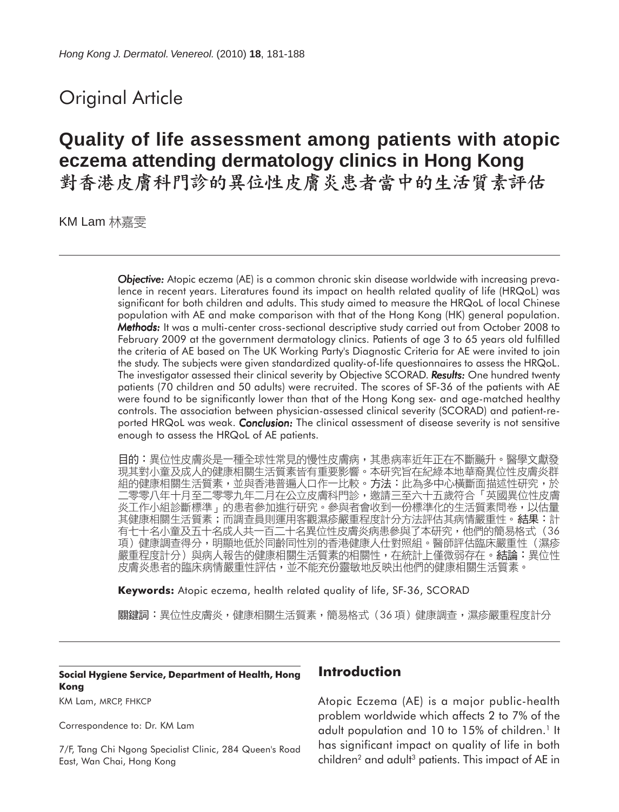## Original Article

# **Quality of life assessment among patients with atopic eczema attending dermatology clinics in Hong Kong**

KM Lam 林嘉雯

*Objective: Objective:* Atopic eczema (AE) is a common chronic skin disease worldwide with increasing prevalence in recent years. Literatures found its impact on health related quality of life (HRQoL) was significant for both children and adults. This study aimed to measure the HRQoL of local Chinese population with AE and make comparison with that of the Hong Kong (HK) general population. *Methods: Methods:* It was a multi-center cross-sectional descriptive study carried out from October 2008 to February 2009 at the government dermatology clinics. Patients of age 3 to 65 years old fulfilled the criteria of AE based on The UK Working Party's Diagnostic Criteria for AE were invited to join the study. The subjects were given standardized quality-of-life questionnaires to assess the HRQoL. The investigator assessed their clinical severity by Objective SCORAD. **Results:** One hundred twenty patients (70 children and 50 adults) were recruited. The scores of SF-36 of the patients with AE were found to be significantly lower than that of the Hong Kong sex- and age-matched healthy controls. The association between physician-assessed clinical severity (SCORAD) and patient-reported HRQoL was weak. *Conclusion:* The clinical assessment of disease severity is not sensitive enough to assess the HRQoL of AE patients.

目的:異位性皮膚炎是一種全球性常見的慢性皮膚病,其患病率近年正在不斷飈升。醫學文獻發 現其對小童及成人的健康相關生活質素皆有重要影響。本研究旨在紀綠本地華裔異位性皮膚炎群 組的健康相關生活質素,並與香港普遍人口作一比較。方法:此為多中心橫斷面描述性研究,於 .零零八年十月至二零零九年二月在公立皮膚科門診,邀請三至六十五歲符合「英國異位性皮膚 炎工作小組診斷標準」的患者參加進行研究。參與者會收到一份標準化的生活質素問卷,以估量 其健康相關生活質素;而調查員則運用客觀濕疹嚴重程度計分方法評估其病情嚴重性。結果:計 有七十名小童及五十名成人共一百二十名異位性皮膚炎病患參與了本研究,他們的簡易格式(36<br>項)健康調查得分,明顯地低於同齡同性別的香港健康人仕對照組。醫師評估臨床嚴重性(濕疹 嚴重程度計分)與病人報告的健康相關生活質素的相關性,在統計上僅微弱存在。結論:異位性 皮膚炎患者的臨床病情嚴重性評估,並不能充份靈敏地反映出他們的健康相關生活質素。

**Keywords:** Atopic eczema, health related quality of life, SF-36, SCORAD

關鍵詞:異位性皮膚炎,健康相關生活質素,簡易格式(36 項)健康調查,濕疹嚴重程度計分

#### **Social Hygiene Service, Department of Health, Hong Kong**

KM Lam, MRCP, FHKCP

Correspondence to: Dr. KM Lam

7/F, Tang Chi Ngong Specialist Clinic, 284 Queen's Road East, Wan Chai, Hong Kong

#### **Introduction**

Atopic Eczema (AE) is a major public-health problem worldwide which affects 2 to 7% of the adult population and 10 to 15% of children.<sup>1</sup> It has significant impact on quality of life in both children<sup>2</sup> and adult<sup>3</sup> patients. This impact of AE in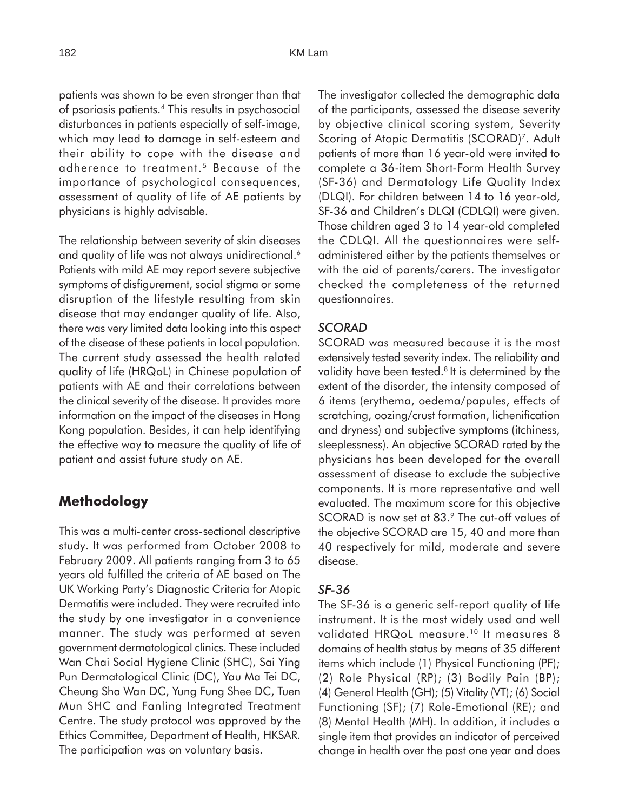patients was shown to be even stronger than that of psoriasis patients.4 This results in psychosocial disturbances in patients especially of self-image, which may lead to damage in self-esteem and their ability to cope with the disease and adherence to treatment.5 Because of the importance of psychological consequences, assessment of quality of life of AE patients by physicians is highly advisable.

The relationship between severity of skin diseases and quality of life was not always unidirectional.<sup>6</sup> Patients with mild AE may report severe subjective symptoms of disfigurement, social stigma or some disruption of the lifestyle resulting from skin disease that may endanger quality of life. Also, there was very limited data looking into this aspect of the disease of these patients in local population. The current study assessed the health related quality of life (HRQoL) in Chinese population of patients with AE and their correlations between the clinical severity of the disease. It provides more information on the impact of the diseases in Hong Kong population. Besides, it can help identifying the effective way to measure the quality of life of patient and assist future study on AE.

## **Methodology**

This was a multi-center cross-sectional descriptive study. It was performed from October 2008 to February 2009. All patients ranging from 3 to 65 years old fulfilled the criteria of AE based on The UK Working Party's Diagnostic Criteria for Atopic Dermatitis were included. They were recruited into the study by one investigator in a convenience manner. The study was performed at seven government dermatological clinics. These included Wan Chai Social Hygiene Clinic (SHC), Sai Ying Pun Dermatological Clinic (DC), Yau Ma Tei DC, Cheung Sha Wan DC, Yung Fung Shee DC, Tuen Mun SHC and Fanling Integrated Treatment Centre. The study protocol was approved by the Ethics Committee, Department of Health, HKSAR. The participation was on voluntary basis.

The investigator collected the demographic data of the participants, assessed the disease severity by objective clinical scoring system, Severity Scoring of Atopic Dermatitis (SCORAD)<sup>7</sup>. Adult patients of more than 16 year-old were invited to complete a 36-item Short-Form Health Survey (SF-36) and Dermatology Life Quality Index (DLQI). For children between 14 to 16 year-old, SF-36 and Children's DLQI (CDLQI) were given. Those children aged 3 to 14 year-old completed the CDLQI. All the questionnaires were selfadministered either by the patients themselves or with the aid of parents/carers. The investigator checked the completeness of the returned questionnaires.

#### *SCORAD*

SCORAD was measured because it is the most extensively tested severity index. The reliability and validity have been tested.<sup>8</sup> It is determined by the extent of the disorder, the intensity composed of 6 items (erythema, oedema/papules, effects of scratching, oozing/crust formation, lichenification and dryness) and subjective symptoms (itchiness, sleeplessness). An objective SCORAD rated by the physicians has been developed for the overall assessment of disease to exclude the subjective components. It is more representative and well evaluated. The maximum score for this objective SCORAD is now set at 83.9 The cut-off values of the objective SCORAD are 15, 40 and more than 40 respectively for mild, moderate and severe disease.

#### *SF-36*

The SF-36 is a generic self-report quality of life instrument. It is the most widely used and well validated HRQoL measure.<sup>10</sup> It measures 8 domains of health status by means of 35 different items which include (1) Physical Functioning (PF); (2) Role Physical (RP); (3) Bodily Pain (BP); (4) General Health (GH); (5) Vitality (VT); (6) Social Functioning (SF); (7) Role-Emotional (RE); and (8) Mental Health (MH). In addition, it includes a single item that provides an indicator of perceived change in health over the past one year and does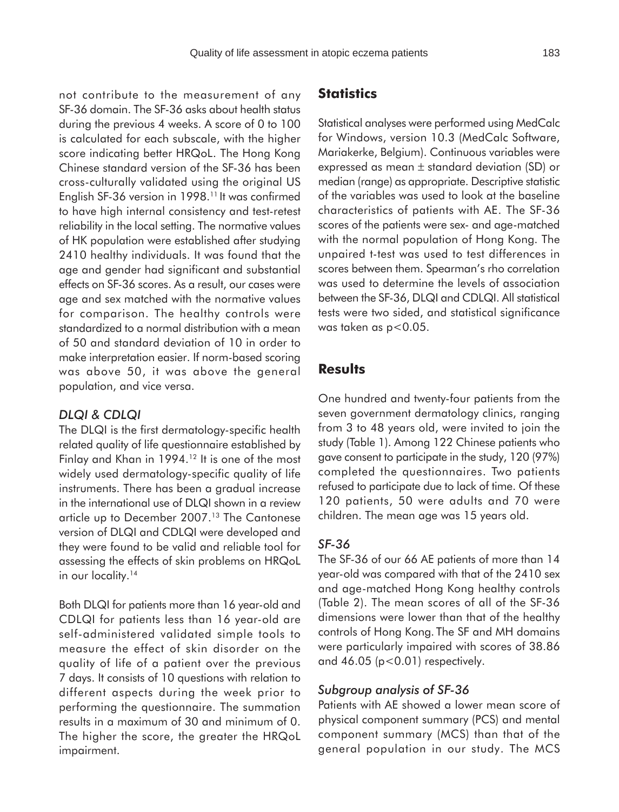not contribute to the measurement of any SF-36 domain. The SF-36 asks about health status during the previous 4 weeks. A score of 0 to 100 is calculated for each subscale, with the higher score indicating better HRQoL. The Hong Kong Chinese standard version of the SF-36 has been cross-culturally validated using the original US English SF-36 version in 1998.<sup>11</sup> It was confirmed to have high internal consistency and test-retest reliability in the local setting. The normative values of HK population were established after studying 2410 healthy individuals. It was found that the age and gender had significant and substantial effects on SF-36 scores. As a result, our cases were age and sex matched with the normative values for comparison. The healthy controls were standardized to a normal distribution with a mean of 50 and standard deviation of 10 in order to make interpretation easier. If norm-based scoring was above 50, it was above the general population, and vice versa.

#### *DLQI & CDLQI*

The DLQI is the first dermatology-specific health related quality of life questionnaire established by Finlay and Khan in 1994.<sup>12</sup> It is one of the most widely used dermatology-specific quality of life instruments. There has been a gradual increase in the international use of DLQI shown in a review article up to December 2007.<sup>13</sup> The Cantonese version of DLQI and CDLQI were developed and they were found to be valid and reliable tool for assessing the effects of skin problems on HRQoL in our locality.<sup>14</sup>

Both DLQI for patients more than 16 year-old and CDLQI for patients less than 16 year-old are self-administered validated simple tools to measure the effect of skin disorder on the quality of life of a patient over the previous 7 days. It consists of 10 questions with relation to different aspects during the week prior to performing the questionnaire. The summation results in a maximum of 30 and minimum of 0. The higher the score, the greater the HRQoL impairment.

#### **Statistics**

Statistical analyses were performed using MedCalc for Windows, version 10.3 (MedCalc Software, Mariakerke, Belgium). Continuous variables were expressed as mean ± standard deviation (SD) or median (range) as appropriate. Descriptive statistic of the variables was used to look at the baseline characteristics of patients with AE. The SF-36 scores of the patients were sex- and age-matched with the normal population of Hong Kong. The unpaired t-test was used to test differences in scores between them. Spearman's rho correlation was used to determine the levels of association between the SF-36, DLQI and CDLQI. All statistical tests were two sided, and statistical significance was taken as p<0.05.

#### **Results**

One hundred and twenty-four patients from the seven government dermatology clinics, ranging from 3 to 48 years old, were invited to join the study (Table 1). Among 122 Chinese patients who gave consent to participate in the study, 120 (97%) completed the questionnaires. Two patients refused to participate due to lack of time. Of these 120 patients, 50 were adults and 70 were children. The mean age was 15 years old.

#### *SF-36*

The SF-36 of our 66 AE patients of more than 14 year-old was compared with that of the 2410 sex and age-matched Hong Kong healthy controls (Table 2). The mean scores of all of the SF-36 dimensions were lower than that of the healthy controls of Hong Kong. The SF and MH domains were particularly impaired with scores of 38.86 and  $46.05$  ( $p < 0.01$ ) respectively.

#### *Subgroup analysis of SF-36*

Patients with AE showed a lower mean score of physical component summary (PCS) and mental component summary (MCS) than that of the general population in our study. The MCS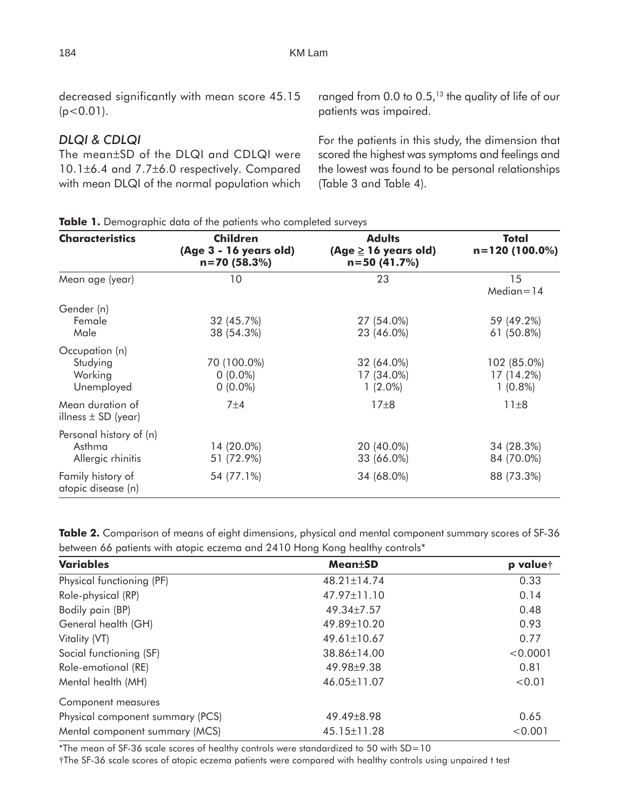decreased significantly with mean score 45.15  $(p<0.01)$ .

## *DLQI & CDLQI*

The mean±SD of the DLQI and CDLQI were 10.1±6.4 and 7.7±6.0 respectively. Compared with mean DLQI of the normal population which ranged from 0.0 to 0.5, $13$  the quality of life of our patients was impaired.

For the patients in this study, the dimension that scored the highest was symptoms and feelings and the lowest was found to be personal relationships (Table 3 and Table 4).

| <b>Characteristics</b>                                 | <b>Children</b><br>(Age 3 - 16 years old)<br>$n = 70(58.3%)$                      | <b>Adults</b><br>(Age $\geq$ 16 years old)<br>$n = 50(41.7%)$ | Total<br>$n=120(100.0\%)$               |  |
|--------------------------------------------------------|-----------------------------------------------------------------------------------|---------------------------------------------------------------|-----------------------------------------|--|
| Mean age (year)                                        | 10                                                                                | 23                                                            | 15<br>$Median=14$                       |  |
| Gender (n)<br>Female<br>Male                           | 32 (45.7%)<br>27 (54.0%)<br>38 (54.3%)<br>23 (46.0%)                              |                                                               | 59 (49.2%)<br>61 (50.8%)                |  |
| Occupation (n)<br>Studying<br>Working<br>Unemployed    | 70 (100.0%)<br>32 (64.0%)<br>$0(0.0\%)$<br>17 (34.0%)<br>$0(0.0\%)$<br>$1(2.0\%)$ |                                                               | 102 (85.0%)<br>17 (14.2%)<br>$1(0.8\%)$ |  |
| Mean duration of<br>illness $\pm$ SD (year)            | 7±4                                                                               | $17\pm8$                                                      | $11\pm8$                                |  |
| Personal history of (n)<br>Asthma<br>Allergic rhinitis | 14 (20.0%)<br>51 (72.9%)                                                          | 20 (40.0%)<br>33 (66.0%)                                      | 34 (28.3%)<br>84 (70.0%)                |  |
| Family history of<br>atopic disease (n)                | 54 (77.1%)                                                                        | 34 (68.0%)                                                    | 88 (73.3%)                              |  |

**Table 1.** Demographic data of the patients who completed surveys

**Table 2.** Comparison of means of eight dimensions, physical and mental component summary scores of SF-36 between 66 patients with atopic eczema and 2410 Hong Kong healthy controls\*

| <b>Variables</b>                 | <b>Mean</b> ±SD   | p valuet |
|----------------------------------|-------------------|----------|
| Physical functioning (PF)        | $48.21 \pm 14.74$ | 0.33     |
| Role-physical (RP)               | $47.97 \pm 11.10$ | 0.14     |
| Bodily pain (BP)                 | 49.34±7.57        | 0.48     |
| General health (GH)              | 49.89±10.20       | 0.93     |
| Vitality (VT)                    | $49.61 \pm 10.67$ | 0.77     |
| Social functioning (SF)          | 38.86±14.00       | < 0.0001 |
| Role-emotional (RE)              | 49.98 ± 9.38      | 0.81     |
| Mental health (MH)               | 46.05±11.07       | < 0.01   |
| Component measures               |                   |          |
| Physical component summary (PCS) | 49.49±8.98        | 0.65     |
| Mental component summary (MCS)   | 45.15±11.28       | < 0.001  |

\*The mean of SF-36 scale scores of healthy controls were standardized to 50 with SD=10

†The SF-36 scale scores of atopic eczema patients were compared with healthy controls using unpaired t test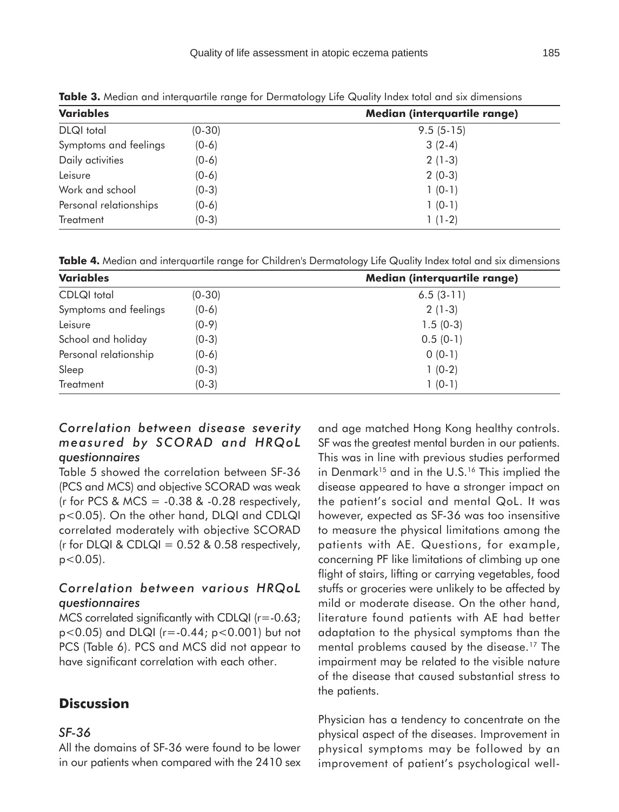| <b>Variables</b>       |          | Median (interquartile range) |  |  |
|------------------------|----------|------------------------------|--|--|
| <b>DLQI</b> total      | $(0-30)$ | $9.5(5-15)$                  |  |  |
| Symptoms and feelings  | $(0-6)$  | $3(2-4)$                     |  |  |
| Daily activities       | $(0-6)$  | $2(1-3)$                     |  |  |
| Leisure                | $(0-6)$  | $2(0-3)$                     |  |  |
| Work and school        | $(0-3)$  | $1(0-1)$                     |  |  |
| Personal relationships | $(0-6)$  | $1(0-1)$                     |  |  |
| <b>Treatment</b>       | $(0-3)$  | $1(1-2)$                     |  |  |

**Table 3.** Median and interquartile range for Dermatology Life Quality Index total and six dimensions

**Table 4.** Median and interquartile range for Children's Dermatology Life Quality Index total and six dimensions

| <b>Variables</b>      |          | Median (interquartile range) |  |  |
|-----------------------|----------|------------------------------|--|--|
| CDLQI total           | $(0-30)$ | $6.5(3-11)$                  |  |  |
| Symptoms and feelings | $(0-6)$  | $2(1-3)$                     |  |  |
| Leisure               | $(0-9)$  | $1.5(0-3)$                   |  |  |
| School and holiday    | $(0-3)$  | $0.5(0-1)$                   |  |  |
| Personal relationship | $(0-6)$  | $0(0-1)$                     |  |  |
| Sleep                 | $(0-3)$  | $1(0-2)$                     |  |  |
| Treatment             | (0-3)    | $1(0-1)$                     |  |  |

#### *Correlation between disease severity measured by SCORAD and HRQoL questionnaires*

Table 5 showed the correlation between SF-36 (PCS and MCS) and objective SCORAD was weak (r for PCS & MCS =  $-0.38$  &  $-0.28$  respectively, p<0.05). On the other hand, DLQI and CDLQI correlated moderately with objective SCORAD (r for DLQI & CDLQI =  $0.52$  &  $0.58$  respectively,  $p < 0.05$ ).

## *Correlation between various HRQoL questionnaires*

MCS correlated significantly with CDLQI  $(r = -0.63)$ ; p<0.05) and DLQI (r=-0.44; p<0.001) but not PCS (Table 6). PCS and MCS did not appear to have significant correlation with each other.

## **Discussion**

#### *SF-36*

All the domains of SF-36 were found to be lower in our patients when compared with the 2410 sex and age matched Hong Kong healthy controls. SF was the greatest mental burden in our patients. This was in line with previous studies performed in Denmark<sup>15</sup> and in the U.S.<sup>16</sup> This implied the disease appeared to have a stronger impact on the patient's social and mental QoL. It was however, expected as SF-36 was too insensitive to measure the physical limitations among the patients with AE. Questions, for example, concerning PF like limitations of climbing up one flight of stairs, lifting or carrying vegetables, food stuffs or groceries were unlikely to be affected by mild or moderate disease. On the other hand, literature found patients with AE had better adaptation to the physical symptoms than the mental problems caused by the disease.<sup>17</sup> The impairment may be related to the visible nature of the disease that caused substantial stress to the patients.

Physician has a tendency to concentrate on the physical aspect of the diseases. Improvement in physical symptoms may be followed by an improvement of patient's psychological well-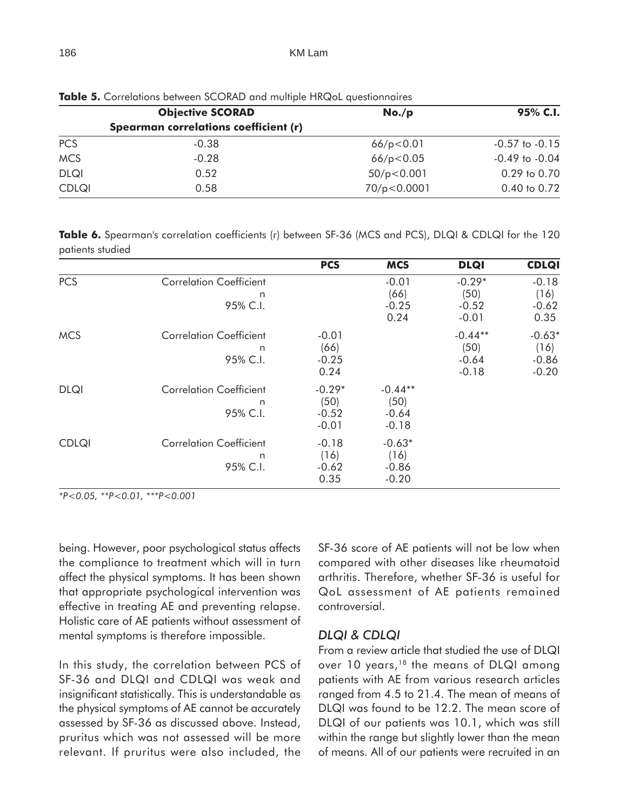|              | <b>Objective SCORAD</b>                      | No./p         | 95% C.I.           |  |
|--------------|----------------------------------------------|---------------|--------------------|--|
|              | <b>Spearman correlations coefficient (r)</b> |               |                    |  |
| <b>PCS</b>   | $-0.38$                                      | 66/p < 0.01   | $-0.57$ to $-0.15$ |  |
| <b>MCS</b>   | $-0.28$                                      | 66/p < 0.05   | $-0.49$ to $-0.04$ |  |
| <b>DLQI</b>  | 0.52                                         | 50/p < 0.001  | $0.29$ to $0.70$   |  |
| <b>CDLQI</b> | 0.58                                         | 70/p < 0.0001 | 0.40 to 0.72       |  |

**Table 5.** Correlations between SCORAD and multiple HRQoL questionnaires

**Table 6.** Spearman's correlation coefficients (r) between SF-36 (MCS and PCS), DLQI & CDLQI for the 120 patients studied

|              |                                                 | <b>PCS</b>                             | <b>MCS</b>                              | <b>DLQI</b>                             | <b>CDLQI</b>                           |
|--------------|-------------------------------------------------|----------------------------------------|-----------------------------------------|-----------------------------------------|----------------------------------------|
| <b>PCS</b>   | <b>Correlation Coefficient</b><br>n<br>95% C.I. |                                        | $-0.01$<br>(66)<br>$-0.25$<br>0.24      | $-0.29*$<br>(50)<br>$-0.52$<br>$-0.01$  | $-0.18$<br>(16)<br>$-0.62$<br>0.35     |
| <b>MCS</b>   | <b>Correlation Coefficient</b><br>n<br>95% C.I. | $-0.01$<br>(66)<br>$-0.25$<br>0.24     |                                         | $-0.44**$<br>(50)<br>$-0.64$<br>$-0.18$ | $-0.63*$<br>(16)<br>$-0.86$<br>$-0.20$ |
| <b>DLQI</b>  | <b>Correlation Coefficient</b><br>n<br>95% C.I. | $-0.29*$<br>(50)<br>$-0.52$<br>$-0.01$ | $-0.44**$<br>(50)<br>$-0.64$<br>$-0.18$ |                                         |                                        |
| <b>CDLQI</b> | <b>Correlation Coefficient</b><br>n<br>95% C.I. | $-0.18$<br>(16)<br>$-0.62$<br>0.35     | $-0.63*$<br>(16)<br>$-0.86$<br>$-0.20$  |                                         |                                        |

*\*P<0.05, \*\*P<0.01, \*\*\*P<0.001*

being. However, poor psychological status affects the compliance to treatment which will in turn affect the physical symptoms. It has been shown that appropriate psychological intervention was effective in treating AE and preventing relapse. Holistic care of AE patients without assessment of mental symptoms is therefore impossible.

In this study, the correlation between PCS of SF-36 and DLQI and CDLQI was weak and insignificant statistically. This is understandable as the physical symptoms of AE cannot be accurately assessed by SF-36 as discussed above. Instead, pruritus which was not assessed will be more relevant. If pruritus were also included, the SF-36 score of AE patients will not be low when compared with other diseases like rheumatoid arthritis. Therefore, whether SF-36 is useful for QoL assessment of AE patients remained controversial.

#### *DLQI & CDLQI*

From a review article that studied the use of DLQI over 10 years,<sup>18</sup> the means of DLQI among patients with AE from various research articles ranged from 4.5 to 21.4. The mean of means of DLQI was found to be 12.2. The mean score of DLQI of our patients was 10.1, which was still within the range but slightly lower than the mean of means. All of our patients were recruited in an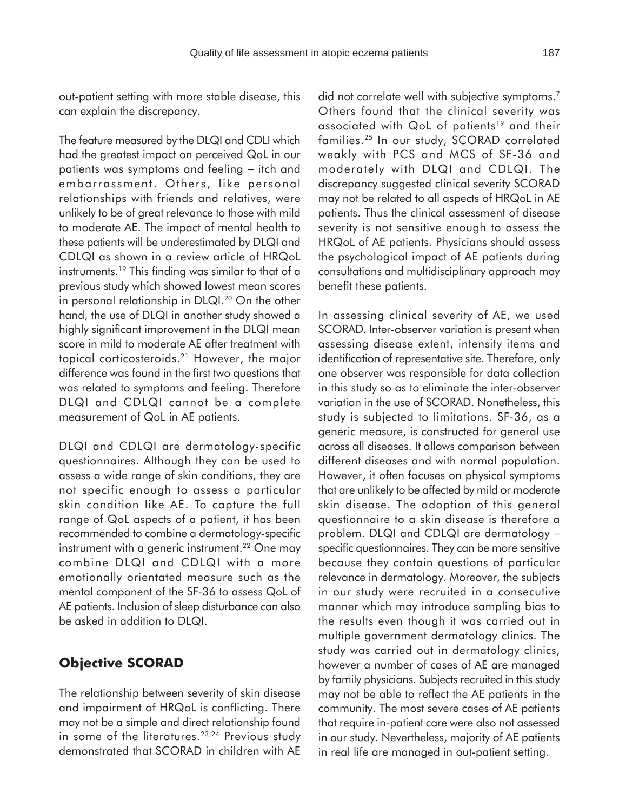out-patient setting with more stable disease, this can explain the discrepancy.

The feature measured by the DLQI and CDLI which had the greatest impact on perceived QoL in our patients was symptoms and feeling – itch and embarrassment. Others, like personal relationships with friends and relatives, were unlikely to be of great relevance to those with mild to moderate AE. The impact of mental health to these patients will be underestimated by DLQI and CDLQI as shown in a review article of HRQoL instruments.19 This finding was similar to that of a previous study which showed lowest mean scores in personal relationship in DLQI.<sup>20</sup> On the other hand, the use of DLQI in another study showed a highly significant improvement in the DLQI mean score in mild to moderate AE after treatment with topical corticosteroids.21 However, the major difference was found in the first two questions that was related to symptoms and feeling. Therefore DLQI and CDLQI cannot be a complete measurement of QoL in AE patients.

DLQI and CDLQI are dermatology-specific questionnaires. Although they can be used to assess a wide range of skin conditions, they are not specific enough to assess a particular skin condition like AE. To capture the full range of QoL aspects of a patient, it has been recommended to combine a dermatology-specific instrument with a generic instrument.<sup>22</sup> One may combine DLQI and CDLQI with a more emotionally orientated measure such as the mental component of the SF-36 to assess QoL of AE patients. Inclusion of sleep disturbance can also be asked in addition to DLQI.

## **Objective SCORAD**

The relationship between severity of skin disease and impairment of HRQoL is conflicting. There may not be a simple and direct relationship found in some of the literatures.<sup>23,24</sup> Previous study demonstrated that SCORAD in children with AE did not correlate well with subjective symptoms.<sup>7</sup> Others found that the clinical severity was associated with QoL of patients<sup>19</sup> and their families.25 In our study, SCORAD correlated weakly with PCS and MCS of SF-36 and moderately with DLQI and CDLQI. The discrepancy suggested clinical severity SCORAD may not be related to all aspects of HRQoL in AE patients. Thus the clinical assessment of disease severity is not sensitive enough to assess the HRQoL of AE patients. Physicians should assess the psychological impact of AE patients during consultations and multidisciplinary approach may benefit these patients.

In assessing clinical severity of AE, we used SCORAD. Inter-observer variation is present when assessing disease extent, intensity items and identification of representative site. Therefore, only one observer was responsible for data collection in this study so as to eliminate the inter-observer variation in the use of SCORAD. Nonetheless, this study is subjected to limitations. SF-36, as a generic measure, is constructed for general use across all diseases. It allows comparison between different diseases and with normal population. However, it often focuses on physical symptoms that are unlikely to be affected by mild or moderate skin disease. The adoption of this general questionnaire to a skin disease is therefore a problem. DLQI and CDLQI are dermatology specific questionnaires. They can be more sensitive because they contain questions of particular relevance in dermatology. Moreover, the subjects in our study were recruited in a consecutive manner which may introduce sampling bias to the results even though it was carried out in multiple government dermatology clinics. The study was carried out in dermatology clinics, however a number of cases of AE are managed by family physicians. Subjects recruited in this study may not be able to reflect the AE patients in the community. The most severe cases of AE patients that require in-patient care were also not assessed in our study. Nevertheless, majority of AE patients in real life are managed in out-patient setting.